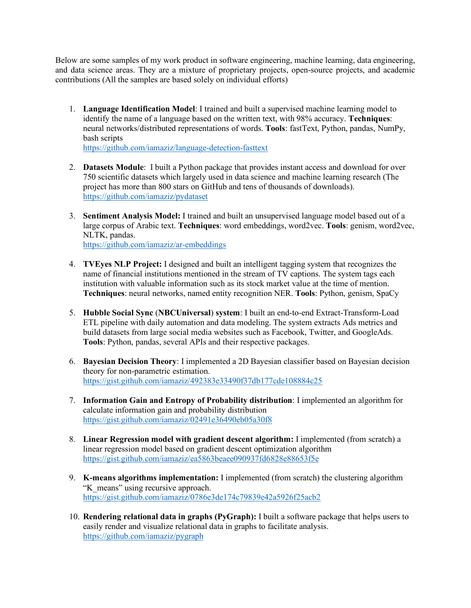Below are some samples of my work product in software engineering, machine learning, data engineering, and data science areas. They are a mixture of proprietary projects, open-source projects, and academic contributions (All the samples are based solely on individual efforts)

1. **Language Identification Model**: I trained and built a supervised machine learning model to identify the name of a language based on the written text, with 98% accuracy. **Techniques**: neural networks/distributed representations of words. **Tools**: fastText, Python, pandas, NumPy, bash scripts

https://github.com/iamaziz/language-detection-fasttext

- 2. **Datasets Module**: I built a Python package that provides instant access and download for over 750 scientific datasets which largely used in data science and machine learning research (The project has more than 800 stars on GitHub and tens of thousands of downloads). https://github.com/iamaziz/pydataset
- 3. **Sentiment Analysis Model:** I trained and built an unsupervised language model based out of a large corpus of Arabic text. **Techniques**: word embeddings, word2vec. **Tools**: genism, word2vec, NLTK, pandas. https://github.com/iamaziz/ar-embeddings
- 4. **TVEyes NLP Project:** I designed and built an intelligent tagging system that recognizes the name of financial institutions mentioned in the stream of TV captions. The system tags each institution with valuable information such as its stock market value at the time of mention. **Techniques**: neural networks, named entity recognition NER. **Tools**: Python, genism, SpaCy
- 5. **Hubble Social Sync** (**NBCUniversal**) **system**: I built an end-to-end Extract-Transform-Load ETL pipeline with daily automation and data modeling. The system extracts Ads metrics and build datasets from large social media websites such as Facebook, Twitter, and GoogleAds. **Tools**: Python, pandas, several APIs and their respective packages.
- 6. **Bayesian Decision Theory**: I implemented a 2D Bayesian classifier based on Bayesian decision theory for non-parametric estimation. https://gist.github.com/iamaziz/492383e33490f37db177cde108884c25
- 7. **Information Gain and Entropy of Probability distribution**: I implemented an algorithm for calculate information gain and probability distribution https://gist.github.com/iamaziz/02491e36490eb05a30f8
- 8. **Linear Regression model with gradient descent algorithm:** I implemented (from scratch) a linear regression model based on gradient descent optimization algorithm https://gist.github.com/iamaziz/ea5863beaee090937fd6828e88653f5e
- 9. **K-means algorithms implementation:** I implemented (from scratch) the clustering algorithm "K means" using recursive approach. https://gist.github.com/iamaziz/0786e3de174c79839e42a5926f25acb2
- 10. **Rendering relational data in graphs (PyGraph):** I built a software package that helps users to easily render and visualize relational data in graphs to facilitate analysis. https://github.com/iamaziz/pygraph